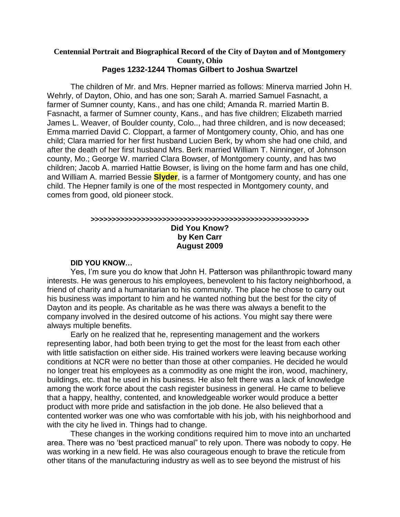#### **Centennial Portrait and Biographical Record of the City of Dayton and of Montgomery County, Ohio Pages 1232-1244 Thomas Gilbert to Joshua Swartzel**

The children of Mr. and Mrs. Hepner married as follows: Minerva married John H. Wehrly, of Dayton, Ohio, and has one son; Sarah A. married Samuel Fasnacht, a farmer of Sumner county, Kans., and has one child; Amanda R. married Martin B. Fasnacht, a farmer of Sumner county, Kans., and has five children; Elizabeth married James L. Weaver, of Boulder county, Colo.., had three children, and is now deceased; Emma married David C. Cloppart, a farmer of Montgomery county, Ohio, and has one child; Clara married for her first husband Lucien Berk, by whom she had one child, and after the death of her first husband Mrs. Berk married William T. Ninninger, of Johnson county, Mo.; George W. married Clara Bowser, of Montgomery county, and has two children; Jacob A. married Hattie Bowser, is living on the home farm and has one child, and William A. married Bessie **Slyder**, is a farmer of Montgomery county, and has one child. The Hepner family is one of the most respected in Montgomery county, and comes from good, old pioneer stock.

#### **>>>>>>>>>>>>>>>>>>>>>>>>>>>>>>>>>>>>>>>>>>>>>>>>>>>> Did You Know? by Ken Carr August 2009**

#### **DID YOU KNOW…**

Yes, I'm sure you do know that John H. Patterson was philanthropic toward many interests. He was generous to his employees, benevolent to his factory neighborhood, a friend of charity and a humanitarian to his community. The place he chose to carry out his business was important to him and he wanted nothing but the best for the city of Dayton and its people. As charitable as he was there was always a benefit to the company involved in the desired outcome of his actions. You might say there were always multiple benefits.

Early on he realized that he, representing management and the workers representing labor, had both been trying to get the most for the least from each other with little satisfaction on either side. His trained workers were leaving because working conditions at NCR were no better than those at other companies. He decided he would no longer treat his employees as a commodity as one might the iron, wood, machinery, buildings, etc. that he used in his business. He also felt there was a lack of knowledge among the work force about the cash register business in general. He came to believe that a happy, healthy, contented, and knowledgeable worker would produce a better product with more pride and satisfaction in the job done. He also believed that a contented worker was one who was comfortable with his job, with his neighborhood and with the city he lived in. Things had to change.

These changes in the working conditions required him to move into an uncharted area. There was no 'best practiced manual" to rely upon. There was nobody to copy. He was working in a new field. He was also courageous enough to brave the reticule from other titans of the manufacturing industry as well as to see beyond the mistrust of his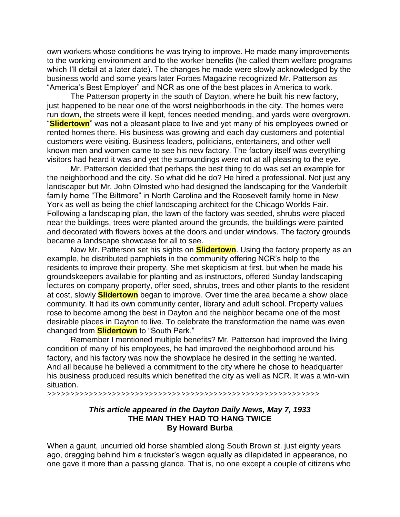own workers whose conditions he was trying to improve. He made many improvements to the working environment and to the worker benefits (he called them welfare programs which I'll detail at a later date). The changes he made were slowly acknowledged by the business world and some years later Forbes Magazine recognized Mr. Patterson as "America's Best Employer" and NCR as one of the best places in America to work.

The Patterson property in the south of Dayton, where he built his new factory, just happened to be near one of the worst neighborhoods in the city. The homes were run down, the streets were ill kept, fences needed mending, and yards were overgrown. "**Slidertown**" was not a pleasant place to live and yet many of his employees owned or rented homes there. His business was growing and each day customers and potential customers were visiting. Business leaders, politicians, entertainers, and other well known men and women came to see his new factory. The factory itself was everything visitors had heard it was and yet the surroundings were not at all pleasing to the eye.

Mr. Patterson decided that perhaps the best thing to do was set an example for the neighborhood and the city. So what did he do? He hired a professional. Not just any landscaper but Mr. John Olmsted who had designed the landscaping for the Vanderbilt family home "The Biltmore" in North Carolina and the Roosevelt family home in New York as well as being the chief landscaping architect for the Chicago Worlds Fair. Following a landscaping plan, the lawn of the factory was seeded, shrubs were placed near the buildings, trees were planted around the grounds, the buildings were painted and decorated with flowers boxes at the doors and under windows. The factory grounds became a landscape showcase for all to see.

Now Mr. Patterson set his sights on **Slidertown**. Using the factory property as an example, he distributed pamphlets in the community offering NCR's help to the residents to improve their property. She met skepticism at first, but when he made his groundskeepers available for planting and as instructors, offered Sunday landscaping lectures on company property, offer seed, shrubs, trees and other plants to the resident at cost, slowly **Slidertown** began to improve. Over time the area became a show place community. It had its own community center, library and adult school. Property values rose to become among the best in Dayton and the neighbor became one of the most desirable places in Dayton to live. To celebrate the transformation the name was even changed from **Slidertown** to "South Park."

Remember I mentioned multiple benefits? Mr. Patterson had improved the living condition of many of his employees, he had improved the neighborhood around his factory, and his factory was now the showplace he desired in the setting he wanted. And all because he believed a commitment to the city where he chose to headquarter his business produced results which benefited the city as well as NCR. It was a win-win situation.

>>>>>>>>>>>>>>>>>>>>>>>>>>>>>>>>>>>>>>>>>>>>>>>>>>>>>>>>>>>

#### *This article appeared in the Dayton Daily News, May 7, 1933* **THE MAN THEY HAD TO HANG TWICE By Howard Burba**

When a gaunt, uncurried old horse shambled along South Brown st. just eighty years ago, dragging behind him a truckster's wagon equally as dilapidated in appearance, no one gave it more than a passing glance. That is, no one except a couple of citizens who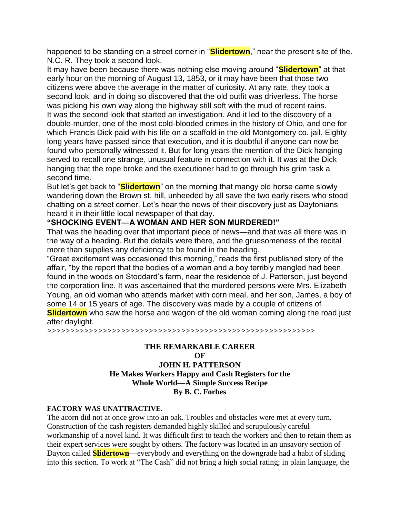happened to be standing on a street corner in "**Slidertown**," near the present site of the. N.C. R. They took a second look.

It may have been because there was nothing else moving around "**Slidertown**" at that early hour on the morning of August 13, 1853, or it may have been that those two citizens were above the average in the matter of curiosity. At any rate, they took a second look, and in doing so discovered that the old outfit was driverless. The horse was picking his own way along the highway still soft with the mud of recent rains. It was the second look that started an investigation. And it led to the discovery of a double-murder, one of the most cold-blooded crimes in the history of Ohio, and one for which Francis Dick paid with his life on a scaffold in the old Montgomery co. jail. Eighty long years have passed since that execution, and it is doubtful if anyone can now be found who personally witnessed it. But for long years the mention of the Dick hanging served to recall one strange, unusual feature in connection with it. It was at the Dick hanging that the rope broke and the executioner had to go through his grim task a second time.

But let's get back to "**Slidertown**" on the morning that mangy old horse came slowly wandering down the Brown st. hill, unheeded by all save the two early risers who stood chatting on a street corner. Let's hear the news of their discovery just as Daytonians heard it in their little local newspaper of that day.

#### **"SHOCKING EVENT—A WOMAN AND HER SON MURDERED!"**

That was the heading over that important piece of news—and that was all there was in the way of a heading. But the details were there, and the gruesomeness of the recital more than supplies any deficiency to be found in the heading.

"Great excitement was occasioned this morning," reads the first published story of the affair, "by the report that the bodies of a woman and a boy terribly mangled had been found in the woods on Stoddard's farm, near the residence of J. Patterson, just beyond the corporation line. It was ascertained that the murdered persons were Mrs. Elizabeth Young, an old woman who attends market with corn meal, and her son, James, a boy of some 14 or 15 years of age. The discovery was made by a couple of citizens of **Slidertown** who saw the horse and wagon of the old woman coming along the road just after daylight.

>>>>>>>>>>>>>>>>>>>>>>>>>>>>>>>>>>>>>>>>>>>>>>>>>>>>>>>>>>

### **THE REMARKABLE CAREER OF JOHN H. PATTERSON He Makes Workers Happy and Cash Registers for the Whole World—A Simple Success Recipe By B. C. Forbes**

#### **FACTORY WAS UNATTRACTIVE.**

The acorn did not at once grow into an oak. Troubles and obstacles were met at every turn. Construction of the cash registers demanded highly skilled and scrupulously careful workmanship of a novel kind. It was difficult first to teach the workers and then to retain them as their expert services were sought by others. The factory was located in an unsavory section of Dayton called **Slidertown**—everybody and everything on the downgrade had a habit of sliding into this section. To work at "The Cash" did not bring a high social rating; in plain language, the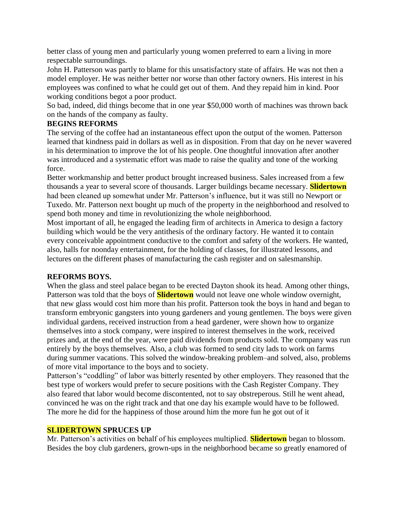better class of young men and particularly young women preferred to earn a living in more respectable surroundings.

John H. Patterson was partly to blame for this unsatisfactory state of affairs. He was not then a model employer. He was neither better nor worse than other factory owners. His interest in his employees was confined to what he could get out of them. And they repaid him in kind. Poor working conditions begot a poor product.

So bad, indeed, did things become that in one year \$50,000 worth of machines was thrown back on the hands of the company as faulty.

#### **BEGINS REFORMS**

The serving of the coffee had an instantaneous effect upon the output of the women. Patterson learned that kindness paid in dollars as well as in disposition. From that day on he never wavered in his determination to improve the lot of his people. One thoughtful innovation after another was introduced and a systematic effort was made to raise the quality and tone of the working force.

Better workmanship and better product brought increased business. Sales increased from a few thousands a year to several score of thousands. Larger buildings became necessary. **Slidertown** had been cleaned up somewhat under Mr. Patterson's influence, but it was still no Newport or Tuxedo. Mr. Patterson next bought up much of the property in the neighborhood and resolved to spend both money and time in revolutionizing the whole neighborhood.

Most important of all, he engaged the leading firm of architects in America to design a factory building which would be the very antithesis of the ordinary factory. He wanted it to contain every conceivable appointment conductive to the comfort and safety of the workers. He wanted, also, halls for noonday entertainment, for the holding of classes, for illustrated lessons, and lectures on the different phases of manufacturing the cash register and on salesmanship.

### **REFORMS BOYS.**

When the glass and steel palace began to be erected Dayton shook its head. Among other things, Patterson was told that the boys of **Slidertown** would not leave one whole window overnight, that new glass would cost him more than his profit. Patterson took the boys in hand and began to transform embryonic gangsters into young gardeners and young gentlemen. The boys were given individual gardens, received instruction from a head gardener, were shown how to organize themselves into a stock company, were inspired to interest themselves in the work, received prizes and, at the end of the year, were paid dividends from products sold. The company was run entirely by the boys themselves. Also, a club was formed to send city lads to work on farms during summer vacations. This solved the window-breaking problem–and solved, also, problems of more vital importance to the boys and to society.

Patterson's "coddling" of labor was bitterly resented by other employers. They reasoned that the best type of workers would prefer to secure positions with the Cash Register Company. They also feared that labor would become discontented, not to say obstreperous. Still he went ahead, convinced he was on the right track and that one day his example would have to be followed. The more he did for the happiness of those around him the more fun he got out of it

#### **SLIDERTOWN SPRUCES UP**

Mr. Patterson's activities on behalf of his employees multiplied. **Slidertown** began to blossom. Besides the boy club gardeners, grown-ups in the neighborhood became so greatly enamored of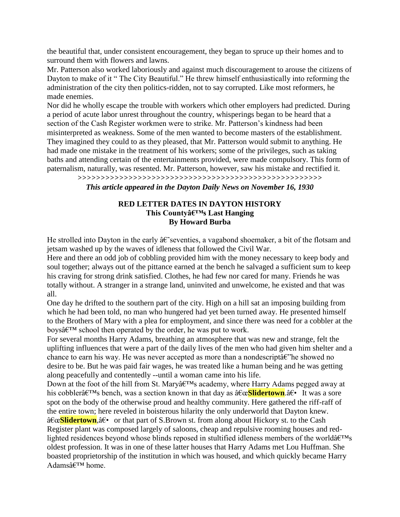the beautiful that, under consistent encouragement, they began to spruce up their homes and to surround them with flowers and lawns.

Mr. Patterson also worked laboriously and against much discouragement to arouse the citizens of Dayton to make of it " The City Beautiful." He threw himself enthusiastically into reforming the administration of the city then politics-ridden, not to say corrupted. Like most reformers, he made enemies.

Nor did he wholly escape the trouble with workers which other employers had predicted. During a period of acute labor unrest throughout the country, whisperings began to be heard that a section of the Cash Register workmen were to strike. Mr. Patterson's kindness had been misinterpreted as weakness. Some of the men wanted to become masters of the establishment. They imagined they could to as they pleased, that Mr. Patterson would submit to anything. He had made one mistake in the treatment of his workers; some of the privileges, such as taking baths and attending certain of the entertainments provided, were made compulsory. This form of paternalism, naturally, was resented. Mr. Patterson, however, saw his mistake and rectified it. >>>>>>>>>>>>>>>>>>>>>>>>>>>>>>>>>>>>>>>>>>>>>>>>>>>>>

*This article appeared in the Dayton Daily News on November 16, 1930*

#### **RED LETTER DATES IN DAYTON HISTORY This Countyâ€<sup>™</sup>s Last Hanging By Howard Burba**

He strolled into Dayton in the early  $\hat{a}\hat{\epsilon}$  seventies, a vagabond shoemaker, a bit of the flotsam and jetsam washed up by the waves of idleness that followed the Civil War.

Here and there an odd job of cobbling provided him with the money necessary to keep body and soul together; always out of the pittance earned at the bench he salvaged a sufficient sum to keep his craving for strong drink satisfied. Clothes, he had few nor cared for many. Friends he was totally without. A stranger in a strange land, uninvited and unwelcome, he existed and that was all.

One day he drifted to the southern part of the city. High on a hill sat an imposing building from which he had been told, no man who hungered had yet been turned away. He presented himself to the Brothers of Mary with a plea for employment, and since there was need for a cobbler at the boys $\hat{\mathfrak{g}} \in \mathbb{T}^M$  school then operated by the order, he was put to work.

For several months Harry Adams, breathing an atmosphere that was new and strange, felt the uplifting influences that were a part of the daily lives of the men who had given him shelter and a chance to earn his way. He was never accepted as more than a nondescript  $\hat{a}\hat{\epsilon}$  he showed no desire to be. But he was paid fair wages, he was treated like a human being and he was getting along peacefully and contentedly --until a woman came into his life.

Down at the foot of the hill from St. Mary's academy, where Harry Adams pegged away at his cobblera<sup>€™</sup>s bench, was a section known in that day as a<sup>€</sup>ce**Slidertown**.a<sup>€</sup> It was a sore spot on the body of the otherwise proud and healthy community. Here gathered the riff-raff of the entire town; here reveled in boisterous hilarity the only underworld that Dayton knew.

"<mark>Slidertown</mark>, †• or that part of S.Brown st. from along about Hickory st. to the Cash Register plant was composed largely of saloons, cheap and repulsive rooming houses and redlighted residences beyond whose blinds reposed in stultified idleness members of the world $\hat{a} \in T^{M}$ s oldest profession. It was in one of these latter houses that Harry Adams met Lou Huffman. She boasted proprietorship of the institution in which was housed, and which quickly became Harry Adams $\hat{a} \in T^M$  home.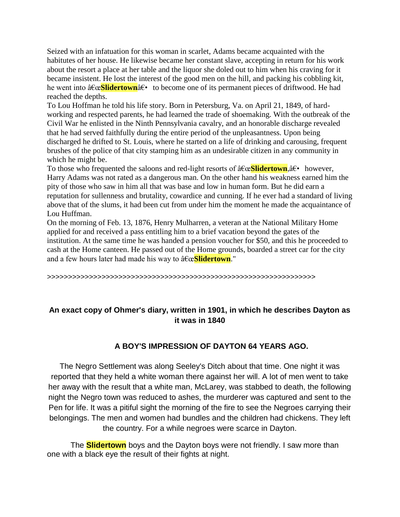Seized with an infatuation for this woman in scarlet, Adams became acquainted with the habitutes of her house. He likewise became her constant slave, accepting in return for his work about the resort a place at her table and the liquor she doled out to him when his craving for it became insistent. He lost the interest of the good men on the hill, and packing his cobbling kit, he went into  $â€c$ **Slidertown** $†\cdot$  to become one of its permanent pieces of driftwood. He had reached the depths.

To Lou Hoffman he told his life story. Born in Petersburg, Va. on April 21, 1849, of hardworking and respected parents, he had learned the trade of shoemaking. With the outbreak of the Civil War he enlisted in the Ninth Pennsylvania cavalry, and an honorable discharge revealed that he had served faithfully during the entire period of the unpleasantness. Upon being discharged he drifted to St. Louis, where he started on a life of drinking and carousing, frequent brushes of the police of that city stamping him as an undesirable citizen in any community in which he might be.

To those who frequented the saloons and red-light resorts of  $\hat{a}\epsilon \in \text{Slidertown}, \hat{a}\epsilon \cdot \text{however}$ , Harry Adams was not rated as a dangerous man. On the other hand his weakness earned him the pity of those who saw in him all that was base and low in human form. But he did earn a reputation for sullenness and brutality, cowardice and cunning. If he ever had a standard of living above that of the slums, it had been cut from under him the moment he made the acquaintance of Lou Huffman.

On the morning of Feb. 13, 1876, Henry Mulharren, a veteran at the National Military Home applied for and received a pass entitling him to a brief vacation beyond the gates of the institution. At the same time he was handed a pension voucher for \$50, and this he proceeded to cash at the Home canteen. He passed out of the Home grounds, boarded a street car for the city and a few hours later had made his way to  $\hat{a}\epsilon \in \mathbf{Slidertonn}$ ."

>>>>>>>>>>>>>>>>>>>>>>>>>>>>>>>>>>>>>>>>>>>>>>>>>>>>>>>>>>>>>>>>

## **An exact copy of Ohmer's diary, written in 1901, in which he describes Dayton as it was in 1840**

## **A BOY'S IMPRESSION OF DAYTON 64 YEARS AGO.**

The Negro Settlement was along Seeley's Ditch about that time. One night it was reported that they held a white woman there against her will. A lot of men went to take her away with the result that a white man, McLarey, was stabbed to death, the following night the Negro town was reduced to ashes, the murderer was captured and sent to the Pen for life. It was a pitiful sight the morning of the fire to see the Negroes carrying their belongings. The men and women had bundles and the children had chickens. They left the country. For a while negroes were scarce in Dayton.

The **Slidertown** boys and the Dayton boys were not friendly. I saw more than one with a black eye the result of their fights at night.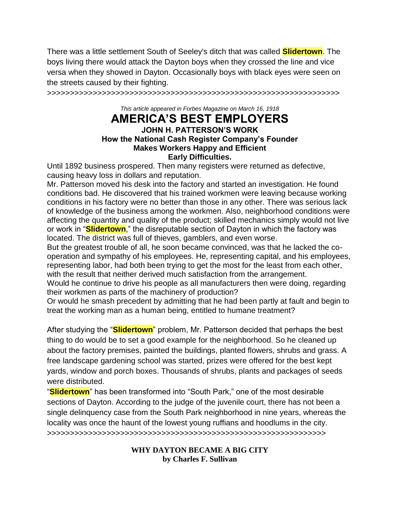There was a little settlement South of Seeley's ditch that was called **Slidertown**. The boys living there would attack the Dayton boys when they crossed the line and vice versa when they showed in Dayton. Occasionally boys with black eyes were seen on the streets caused by their fighting.

>>>>>>>>>>>>>>>>>>>>>>>>>>>>>>>>>>>>>>>>>>>>>>>>>>>>>>>>>>>>>>>>

*This article appeared in Forbes Magazine on March 16, 1918*

## **AMERICA'S BEST EMPLOYERS JOHN H. PATTERSON'S WORK How the National Cash Register Company's Founder Makes Workers Happy and Efficient Early Difficulties.**

Until 1892 business prospered. Then many registers were returned as defective, causing heavy loss in dollars and reputation.

Mr. Patterson moved his desk into the factory and started an investigation. He found conditions bad. He discovered that his trained workmen were leaving because working conditions in his factory were no better than those in any other. There was serious lack of knowledge of the business among the workmen. Also, neighborhood conditions were affecting the quantity and quality of the product; skilled mechanics simply would not live or work in "**Slidertown**," the disreputable section of Dayton in which the factory was located. The district was full of thieves, gamblers, and even worse.

But the greatest trouble of all, he soon became convinced, was that he lacked the cooperation and sympathy of his employees. He, representing capital, and his employees, representing labor, had both been trying to get the most for the least from each other, with the result that neither derived much satisfaction from the arrangement.

Would he continue to drive his people as all manufacturers then were doing, regarding their workmen as parts of the machinery of production?

Or would he smash precedent by admitting that he had been partly at fault and begin to treat the working man as a human being, entitled to humane treatment?

After studying the "**Slidertown**" problem, Mr. Patterson decided that perhaps the best thing to do would be to set a good example for the neighborhood. So he cleaned up about the factory premises, painted the buildings, planted flowers, shrubs and grass. A free landscape gardening school was started, prizes were offered for the best kept yards, window and porch boxes. Thousands of shrubs, plants and packages of seeds were distributed.

"**Slidertown**" has been transformed into "South Park," one of the most desirable sections of Dayton. According to the judge of the juvenile court, there has not been a single delinquency case from the South Park neighborhood in nine years, whereas the locality was once the haunt of the lowest young ruffians and hoodlums in the city. >>>>>>>>>>>>>>>>>>>>>>>>>>>>>>>>>>>>>>>>>>>>>>>>>>>>>>>>>>>>>

> **WHY DAYTON BECAME A BIG CITY by Charles F. Sullivan**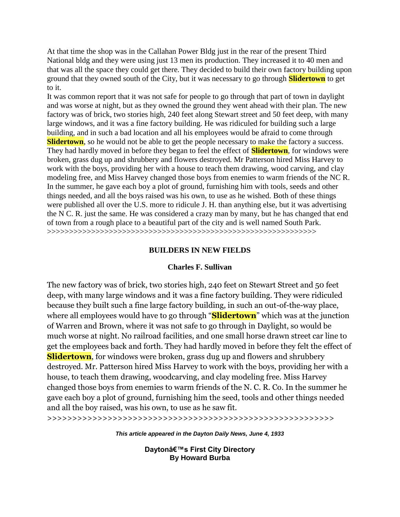At that time the shop was in the Callahan Power Bldg just in the rear of the present Third National bldg and they were using just 13 men its production. They increased it to 40 men and that was all the space they could get there. They decided to build their own factory building upon ground that they owned south of the City, but it was necessary to go through **Slidertown** to get to it.

It was common report that it was not safe for people to go through that part of town in daylight and was worse at night, but as they owned the ground they went ahead with their plan. The new factory was of brick, two stories high, 240 feet along Stewart street and 50 feet deep, with many large windows, and it was a fine factory building. He was ridiculed for building such a large building, and in such a bad location and all his employees would be afraid to come through **Slidertown**, so he would not be able to get the people necessary to make the factory a success. They had hardly moved in before they began to feel the effect of **Slidertown**, for windows were broken, grass dug up and shrubbery and flowers destroyed. Mr Patterson hired Miss Harvey to work with the boys, providing her with a house to teach them drawing, wood carving, and clay modeling free, and Miss Harvey changed those boys from enemies to warm friends of the NC R. In the summer, he gave each boy a plot of ground, furnishing him with tools, seeds and other things needed, and all the boys raised was his own, to use as he wished. Both of these things were published all over the U.S. more to ridicule J. H. than anything else, but it was advertising the N C. R. just the same. He was considered a crazy man by many, but he has changed that end of town from a rough place to a beautiful part of the city and is well named South Park. >>>>>>>>>>>>>>>>>>>>>>>>>>>>>>>>>>>>>>>>>>>>>>>>>>>>>>>>>>>>>

#### **BUILDERS IN NEW FIELDS**

#### **Charles F. Sullivan**

The new factory was of brick, two stories high, 240 feet on Stewart Street and 50 feet deep, with many large windows and it was a fine factory building. They were ridiculed because they built such a fine large factory building, in such an out-of-the-way place, where all employees would have to go through "**Slidertown**" which was at the junction of Warren and Brown, where it was not safe to go through in Daylight, so would be much worse at night. No railroad facilities, and one small horse drawn street car line to get the employees back and forth. They had hardly moved in before they felt the effect of **Slidertown**, for windows were broken, grass dug up and flowers and shrubbery destroyed. Mr. Patterson hired Miss Harvey to work with the boys, providing her with a house, to teach them drawing, woodcarving, and clay modeling free. Miss Harvey changed those boys from enemies to warm friends of the N. C. R. Co. In the summer he gave each boy a plot of ground, furnishing him the seed, tools and other things needed and all the boy raised, was his own, to use as he saw fit.

>>>>>>>>>>>>>>>>>>>>>>>>>>>>>>>>>>>>>>>>>>>>>>>>>>>>>>>>>

*This article appeared in the Dayton Daily News, June 4, 1933*

**Dayton's First City Directory By Howard Burba**